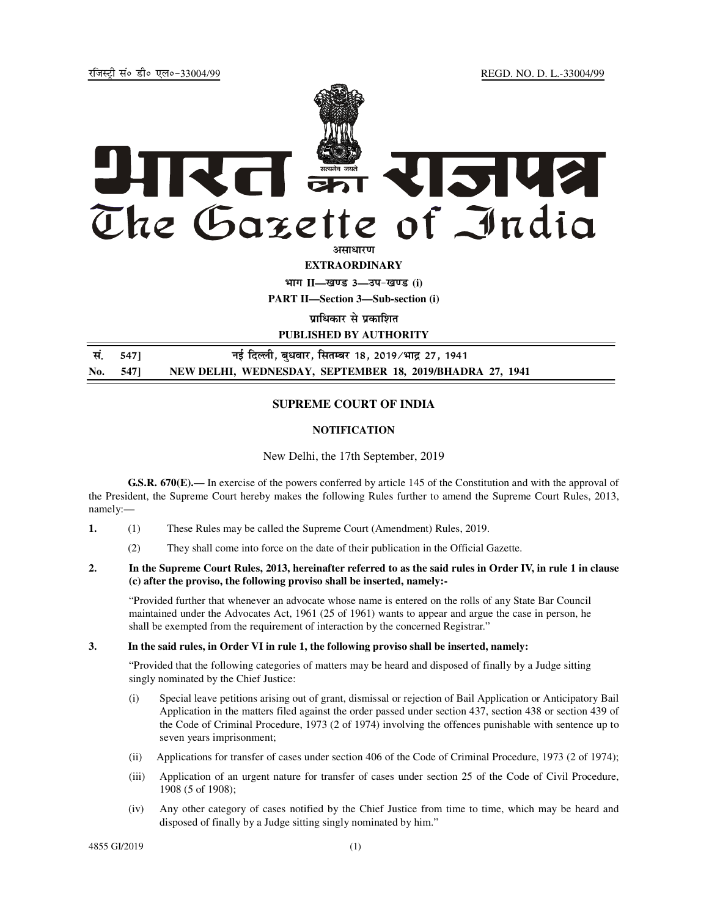jftLVªh laö Mhö ,yö&33004@99 REGD. NO. D. L.-33004/99



**EXTRAORDINARY**

**Hkkx II—[k.M 3—mi&[k.M (i) PART II—Section 3—Sub-section (i)** 

**प्राधिकार से प्रकाशित** 

**PUBLISHED BY AUTHORITY**

 **la- 547] ubZ fnYyh] cq/okj] flrEcj 18] 2019@Hkkæ 27] 1941 No. 547] NEW DELHI, WEDNESDAY, SEPTEMBER 18, 2019/BHADRA 27, 1941**

# **SUPREME COURT OF INDIA**

### **NOTIFICATION**

#### New Delhi, the 17th September, 2019

**G.S.R. 670(E).––** In exercise of the powers conferred by article 145 of the Constitution and with the approval of the President, the Supreme Court hereby makes the following Rules further to amend the Supreme Court Rules, 2013, namely:—

- **1.** (1) These Rules may be called the Supreme Court (Amendment) Rules, 2019.
	- (2) They shall come into force on the date of their publication in the Official Gazette.
- **2. In the Supreme Court Rules, 2013, hereinafter referred to as the said rules in Order IV, in rule 1 in clause (c) after the proviso, the following proviso shall be inserted, namely:-**

"Provided further that whenever an advocate whose name is entered on the rolls of any State Bar Council maintained under the Advocates Act, 1961 (25 of 1961) wants to appear and argue the case in person, he shall be exempted from the requirement of interaction by the concerned Registrar."

### **3. In the said rules, in Order VI in rule 1, the following proviso shall be inserted, namely:**

"Provided that the following categories of matters may be heard and disposed of finally by a Judge sitting singly nominated by the Chief Justice:

- (i) Special leave petitions arising out of grant, dismissal or rejection of Bail Application or Anticipatory Bail Application in the matters filed against the order passed under section 437, section 438 or section 439 of the Code of Criminal Procedure, 1973 (2 of 1974) involving the offences punishable with sentence up to seven years imprisonment;
- (ii) Applications for transfer of cases under section 406 of the Code of Criminal Procedure, 1973 (2 of 1974);
- (iii) Application of an urgent nature for transfer of cases under section 25 of the Code of Civil Procedure, 1908 (5 of 1908);
- (iv) Any other category of cases notified by the Chief Justice from time to time, which may be heard and disposed of finally by a Judge sitting singly nominated by him."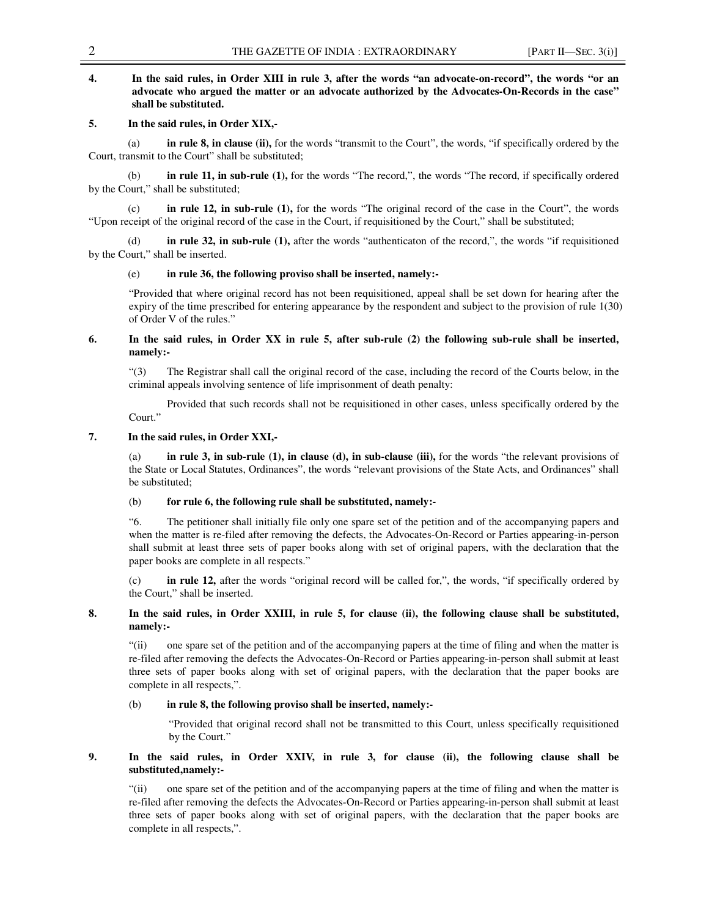# **4. In the said rules, in Order XIII in rule 3, after the words "an advocate-on-record", the words "or an advocate who argued the matter or an advocate authorized by the Advocates-On-Records in the case" shall be substituted.**

### **5. In the said rules, in Order XIX,-**

**in rule 8, in clause (ii),** for the words "transmit to the Court", the words, "if specifically ordered by the Court, transmit to the Court" shall be substituted;

 (b) **in rule 11, in sub-rule (1),** for the words "The record,", the words "The record, if specifically ordered by the Court," shall be substituted;

 (c) **in rule 12, in sub-rule (1),** for the words "The original record of the case in the Court", the words "Upon receipt of the original record of the case in the Court, if requisitioned by the Court," shall be substituted;

in rule 32, in sub-rule (1), after the words "authenticaton of the record,", the words "if requisitioned by the Court," shall be inserted.

#### (e) **in rule 36, the following proviso shall be inserted, namely:-**

"Provided that where original record has not been requisitioned, appeal shall be set down for hearing after the expiry of the time prescribed for entering appearance by the respondent and subject to the provision of rule 1(30) of Order V of the rules."

## **6. In the said rules, in Order XX in rule 5, after sub-rule (2) the following sub-rule shall be inserted, namely:-**

"(3) The Registrar shall call the original record of the case, including the record of the Courts below, in the criminal appeals involving sentence of life imprisonment of death penalty:

 Provided that such records shall not be requisitioned in other cases, unless specifically ordered by the Court."

### **7. In the said rules, in Order XXI,-**

(a) **in rule 3, in sub-rule (1), in clause (d), in sub-clause (iii),** for the words "the relevant provisions of the State or Local Statutes, Ordinances", the words "relevant provisions of the State Acts, and Ordinances" shall be substituted;

## (b) **for rule 6, the following rule shall be substituted, namely:-**

"6. The petitioner shall initially file only one spare set of the petition and of the accompanying papers and when the matter is re-filed after removing the defects, the Advocates-On-Record or Parties appearing-in-person shall submit at least three sets of paper books along with set of original papers, with the declaration that the paper books are complete in all respects."

(c) **in rule 12,** after the words "original record will be called for,", the words, "if specifically ordered by the Court," shall be inserted.

## **8. In the said rules, in Order XXIII, in rule 5, for clause (ii), the following clause shall be substituted, namely:-**

"(ii) one spare set of the petition and of the accompanying papers at the time of filing and when the matter is re-filed after removing the defects the Advocates-On-Record or Parties appearing-in-person shall submit at least three sets of paper books along with set of original papers, with the declaration that the paper books are complete in all respects,".

## (b) **in rule 8, the following proviso shall be inserted, namely:-**

"Provided that original record shall not be transmitted to this Court, unless specifically requisitioned by the Court."

# **9. In the said rules, in Order XXIV, in rule 3, for clause (ii), the following clause shall be substituted,namely:-**

"(ii) one spare set of the petition and of the accompanying papers at the time of filing and when the matter is re-filed after removing the defects the Advocates-On-Record or Parties appearing-in-person shall submit at least three sets of paper books along with set of original papers, with the declaration that the paper books are complete in all respects,".